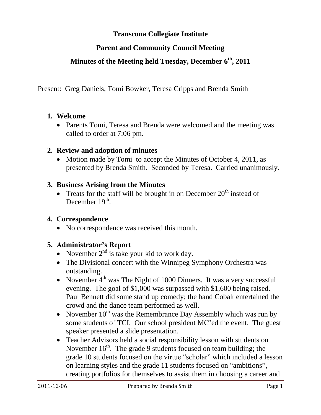## **Transcona Collegiate Institute**

## **Parent and Community Council Meeting**

## **Minutes of the Meeting held Tuesday, December 6th, 2011**

Present: Greg Daniels, Tomi Bowker, Teresa Cripps and Brenda Smith

#### **1. Welcome**

• Parents Tomi, Teresa and Brenda were welcomed and the meeting was called to order at 7:06 pm.

#### **2. Review and adoption of minutes**

• Motion made by Tomi to accept the Minutes of October 4, 2011, as presented by Brenda Smith. Seconded by Teresa. Carried unanimously.

#### **3. Business Arising from the Minutes**

• Treats for the staff will be brought in on December  $20<sup>th</sup>$  instead of December 19<sup>th</sup>.

#### **4. Correspondence**

• No correspondence was received this month.

#### **5. Administrator's Report**

- November  $2<sup>nd</sup>$  is take your kid to work day.
- The Divisional concert with the Winnipeg Symphony Orchestra was outstanding.
- November  $4<sup>th</sup>$  was The Night of 1000 Dinners. It was a very successful evening. The goal of \$1,000 was surpassed with \$1,600 being raised. Paul Bennett did some stand up comedy; the band Cobalt entertained the crowd and the dance team performed as well.
- November  $10^{th}$  was the Remembrance Day Assembly which was run by some students of TCI. Our school president MC'ed the event. The guest speaker presented a slide presentation.
- Teacher Advisors held a social responsibility lesson with students on November  $16<sup>th</sup>$ . The grade 9 students focused on team building; the grade 10 students focused on the virtue "scholar" which included a lesson on learning styles and the grade 11 students focused on "ambitions", creating portfolios for themselves to assist them in choosing a career and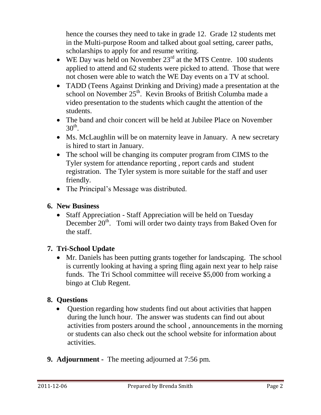hence the courses they need to take in grade 12. Grade 12 students met in the Multi-purpose Room and talked about goal setting, career paths, scholarships to apply for and resume writing.

- WE Day was held on November  $23<sup>rd</sup>$  at the MTS Centre. 100 students applied to attend and 62 students were picked to attend. Those that were not chosen were able to watch the WE Day events on a TV at school.
- TADD (Teens Against Drinking and Driving) made a presentation at the school on November 25<sup>th</sup>. Kevin Brooks of British Columba made a video presentation to the students which caught the attention of the students.
- The band and choir concert will be held at Jubilee Place on November  $30<sup>th</sup>$ .
- Ms. McLaughlin will be on maternity leave in January. A new secretary is hired to start in January.
- The school will be changing its computer program from CIMS to the Tyler system for attendance reporting , report cards and student registration. The Tyler system is more suitable for the staff and user friendly.
- The Principal's Message was distributed.

# **6. New Business**

• Staff Appreciation - Staff Appreciation will be held on Tuesday December 20<sup>th</sup>. Tomi will order two dainty trays from Baked Oven for the staff.

# **7. Tri-School Update**

 Mr. Daniels has been putting grants together for landscaping. The school is currently looking at having a spring fling again next year to help raise funds. The Tri School committee will receive \$5,000 from working a bingo at Club Regent.

# **8. Questions**

- Ouestion regarding how students find out about activities that happen during the lunch hour. The answer was students can find out about activities from posters around the school , announcements in the morning or students can also check out the school website for information about activities.
- **9. Adjournment -** The meeting adjourned at 7:56 pm.